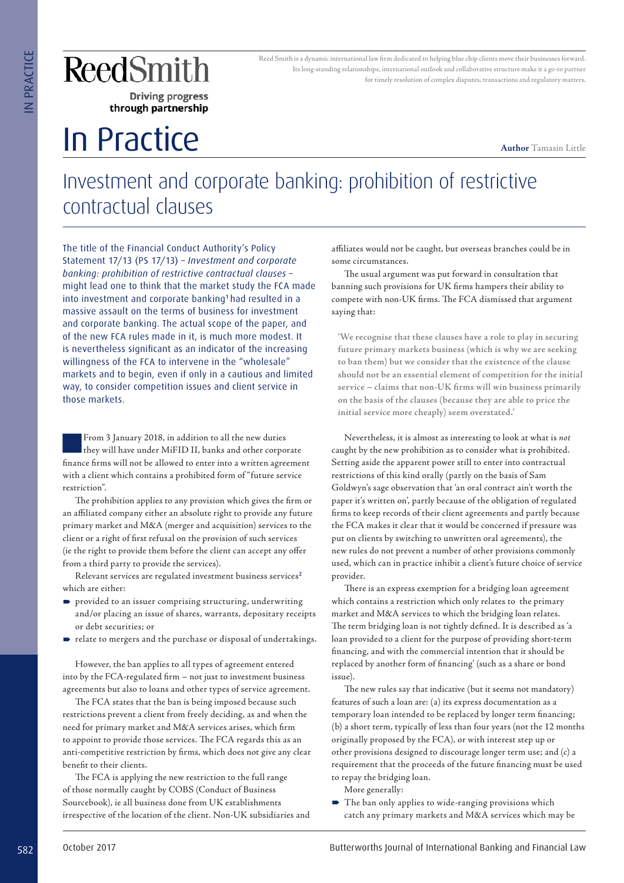## In Practice

Reed Smith is a dynamic international law firm dedicated to helping blue chip clients move their businesses forward. Its long-standing relationships, international outlook and collaborative structure make it a go-to partner for timely resolution of complex disputes, transactions and regulatory matters.

**Author** Tamasin Little

## Investment and corporate banking: prohibition of restrictive contractual clauses

The title of the Financial Conduct Authority's Policy Statement 17/13 (PS 17/13) – *Investment and corporate banking: prohibition of restrictive contractual clauses* – might lead one to think that the market study the FCA made into investment and corporate banking<sup>1</sup> had resulted in a massive assault on the terms of business for investment and corporate banking. The actual scope of the paper, and of the new FCA rules made in it, is much more modest. It is nevertheless significant as an indicator of the increasing willingness of the FCA to intervene in the "wholesale" markets and to begin, even if only in a cautious and limited way, to consider competition issues and client service in those markets. **SECURE THE CONTRIGRATION**<br>
THE CONFIDENTIAL CONTRIGRATION CONTRIGRATION CONTRIGRATION CONTRIGRATION CONTRIGRATION CONTRIGRATION CONTRIGRATION CONTRIGRATION CONTRIGRATION CONTRIGRATION CONTRIGRATION CONTRIGRATION CONTRIGR

■From 3 January 2018, in addition to all the new duties they will have under MiFID II, banks and other corporate finance firms will not be allowed to enter into a written agreement with a client which contains a prohibited form of "future service restriction".

The prohibition applies to any provision which gives the firm or an affiliated company either an absolute right to provide any future primary market and M&A (merger and acquisition) services to the client or a right of first refusal on the provision of such services (ie the right to provide them before the client can accept any offer from a third party to provide the services).

Relevant services are regulated investment business services<sup>2</sup> which are either:

- provided to an issuer comprising structuring, underwriting and/or placing an issue of shares, warrants, depositary receipts or debt securities; or
- $\blacktriangleright$  relate to mergers and the purchase or disposal of undertakings.

However, the ban applies to all types of agreement entered into by the FCA-regulated firm – not just to investment business agreements but also to loans and other types of service agreement.

The FCA states that the ban is being imposed because such restrictions prevent a client from freely deciding, as and when the need for primary market and M&A services arises, which firm to appoint to provide those services. The FCA regards this as an anti-competitive restriction by firms, which does not give any clear benefit to their clients.

The FCA is applying the new restriction to the full range of those normally caught by COBS (Conduct of Business Sourcebook), ie all business done from UK establishments irrespective of the location of the client. Non-UK subsidiaries and affiliates would not be caught, but overseas branches could be in some circumstances.

The usual argument was put forward in consultation that banning such provisions for UK firms hampers their ability to compete with non-UK firms. The FCA dismissed that argument saying that:

**'We recognise that these clauses have a role to play in securing future primary markets business (which is why we are seeking to ban them) but we consider that the existence of the clause should not be an essential element of competition for the initial service – claims that non-UK firms will win business primarily on the basis of the clauses (because they are able to price the initial service more cheaply) seem overstated.'**

Nevertheless, it is almost as interesting to look at what is *not*  caught by the new prohibition as to consider what is prohibited. Setting aside the apparent power still to enter into contractual restrictions of this kind orally (partly on the basis of Sam Goldwyn's sage observation that 'an oral contract ain't worth the paper it's written on', partly because of the obligation of regulated firms to keep records of their client agreements and partly because the FCA makes it clear that it would be concerned if pressure was put on clients by switching to unwritten oral agreements), the new rules do not prevent a number of other provisions commonly used, which can in practice inhibit a client's future choice of service provider.

There is an express exemption for a bridging loan agreement which contains a restriction which only relates to the primary market and M&A services to which the bridging loan relates. The term bridging loan is not tightly defined. It is described as 'a loan provided to a client for the purpose of providing short-term financing, and with the commercial intention that it should be replaced by another form of financing' (such as a share or bond issue).

The new rules say that indicative (but it seems not mandatory) features of such a loan are: (a) its express documentation as a temporary loan intended to be replaced by longer term financing; (b) a short term, typically of less than four years (not the 12 months originally proposed by the FCA), or with interest step up or other provisions designed to discourage longer term use; and (c) a requirement that the proceeds of the future financing must be used to repay the bridging loan.

More generally:

 $\blacksquare$  The ban only applies to wide-ranging provisions which catch any primary markets and M&A services which may be